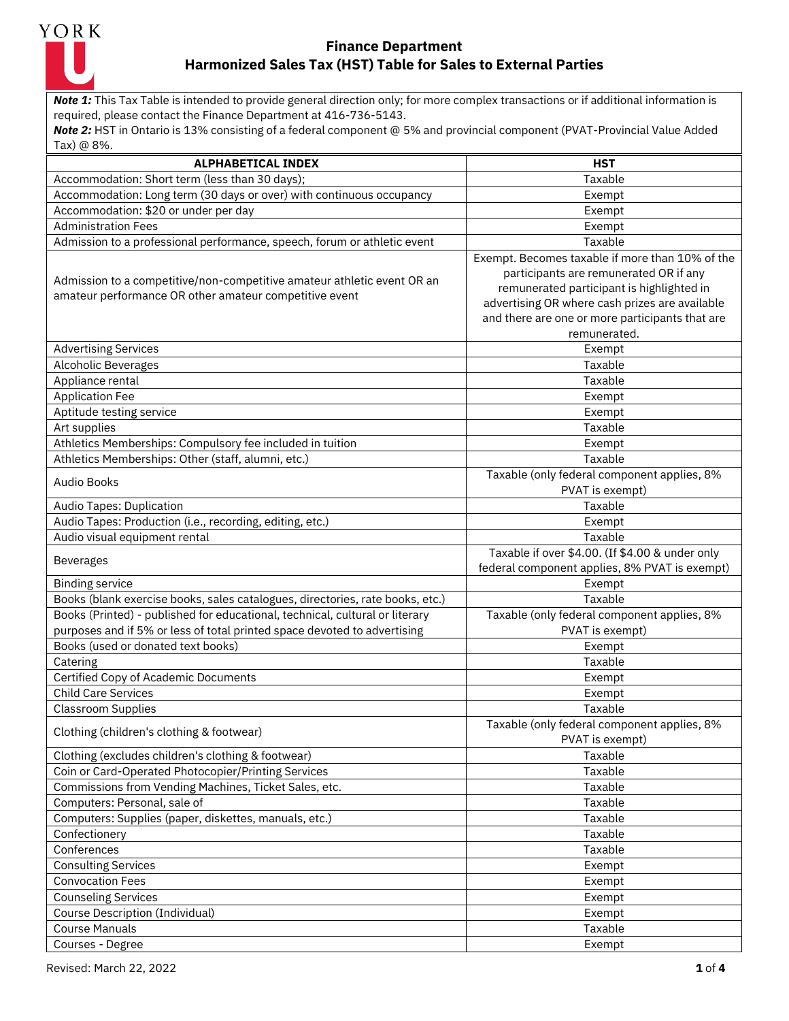

*Note 1:* This Tax Table is intended to provide general direction only; for more complex transactions or if additional information is required, please contact the Finance Department at 416-736-5143.

| <b>ALPHABETICAL INDEX</b>                                                                                                         | <b>HST</b>                                                                                                                                                                                                                                                  |
|-----------------------------------------------------------------------------------------------------------------------------------|-------------------------------------------------------------------------------------------------------------------------------------------------------------------------------------------------------------------------------------------------------------|
| Accommodation: Short term (less than 30 days);                                                                                    | Taxable                                                                                                                                                                                                                                                     |
| Accommodation: Long term (30 days or over) with continuous occupancy                                                              | Exempt                                                                                                                                                                                                                                                      |
| Accommodation: \$20 or under per day                                                                                              | Exempt                                                                                                                                                                                                                                                      |
| <b>Administration Fees</b>                                                                                                        | Exempt                                                                                                                                                                                                                                                      |
| Admission to a professional performance, speech, forum or athletic event                                                          | Taxable                                                                                                                                                                                                                                                     |
| Admission to a competitive/non-competitive amateur athletic event OR an<br>amateur performance OR other amateur competitive event | Exempt. Becomes taxable if more than 10% of the<br>participants are remunerated OR if any<br>remunerated participant is highlighted in<br>advertising OR where cash prizes are available<br>and there are one or more participants that are<br>remunerated. |
| <b>Advertising Services</b>                                                                                                       | Exempt                                                                                                                                                                                                                                                      |
| <b>Alcoholic Beverages</b>                                                                                                        | Taxable                                                                                                                                                                                                                                                     |
| Appliance rental                                                                                                                  | Taxable                                                                                                                                                                                                                                                     |
| <b>Application Fee</b>                                                                                                            | Exempt                                                                                                                                                                                                                                                      |
| Aptitude testing service                                                                                                          | Exempt                                                                                                                                                                                                                                                      |
| Art supplies                                                                                                                      | Taxable                                                                                                                                                                                                                                                     |
| Athletics Memberships: Compulsory fee included in tuition                                                                         | Exempt                                                                                                                                                                                                                                                      |
| Athletics Memberships: Other (staff, alumni, etc.)                                                                                | Taxable                                                                                                                                                                                                                                                     |
| <b>Audio Books</b>                                                                                                                | Taxable (only federal component applies, 8%<br>PVAT is exempt)                                                                                                                                                                                              |
| Audio Tapes: Duplication                                                                                                          | Taxable                                                                                                                                                                                                                                                     |
| Audio Tapes: Production (i.e., recording, editing, etc.)                                                                          | Exempt                                                                                                                                                                                                                                                      |
| Audio visual equipment rental                                                                                                     | Taxable                                                                                                                                                                                                                                                     |
| <b>Beverages</b>                                                                                                                  | Taxable if over \$4.00. (If \$4.00 & under only<br>federal component applies, 8% PVAT is exempt)                                                                                                                                                            |
| <b>Binding service</b>                                                                                                            | Exempt                                                                                                                                                                                                                                                      |
| Books (blank exercise books, sales catalogues, directories, rate books, etc.)                                                     | Taxable                                                                                                                                                                                                                                                     |
| Books (Printed) - published for educational, technical, cultural or literary                                                      | Taxable (only federal component applies, 8%                                                                                                                                                                                                                 |
| purposes and if 5% or less of total printed space devoted to advertising                                                          | PVAT is exempt)                                                                                                                                                                                                                                             |
| Books (used or donated text books)                                                                                                | Exempt                                                                                                                                                                                                                                                      |
| Catering                                                                                                                          | Taxable                                                                                                                                                                                                                                                     |
| Certified Copy of Academic Documents                                                                                              | Exempt                                                                                                                                                                                                                                                      |
| <b>Child Care Services</b>                                                                                                        | Exempt                                                                                                                                                                                                                                                      |
| <b>Classroom Supplies</b>                                                                                                         | Taxable                                                                                                                                                                                                                                                     |
| Clothing (children's clothing & footwear)                                                                                         | Taxable (only federal component applies, 8%<br>PVAT is exempt)                                                                                                                                                                                              |
| Clothing (excludes children's clothing & footwear)                                                                                | Taxable                                                                                                                                                                                                                                                     |
| Coin or Card-Operated Photocopier/Printing Services                                                                               | Taxable                                                                                                                                                                                                                                                     |
| Commissions from Vending Machines, Ticket Sales, etc.                                                                             | Taxable                                                                                                                                                                                                                                                     |
| Computers: Personal, sale of                                                                                                      | Taxable                                                                                                                                                                                                                                                     |
| Computers: Supplies (paper, diskettes, manuals, etc.)                                                                             | Taxable                                                                                                                                                                                                                                                     |
| Confectionery                                                                                                                     | Taxable                                                                                                                                                                                                                                                     |
| Conferences                                                                                                                       | Taxable                                                                                                                                                                                                                                                     |
| <b>Consulting Services</b>                                                                                                        | Exempt                                                                                                                                                                                                                                                      |
| <b>Convocation Fees</b>                                                                                                           | Exempt                                                                                                                                                                                                                                                      |
| <b>Counseling Services</b>                                                                                                        | Exempt                                                                                                                                                                                                                                                      |
| Course Description (Individual)                                                                                                   | Exempt                                                                                                                                                                                                                                                      |
| <b>Course Manuals</b>                                                                                                             | Taxable                                                                                                                                                                                                                                                     |
| Courses - Degree                                                                                                                  | Exempt                                                                                                                                                                                                                                                      |
|                                                                                                                                   |                                                                                                                                                                                                                                                             |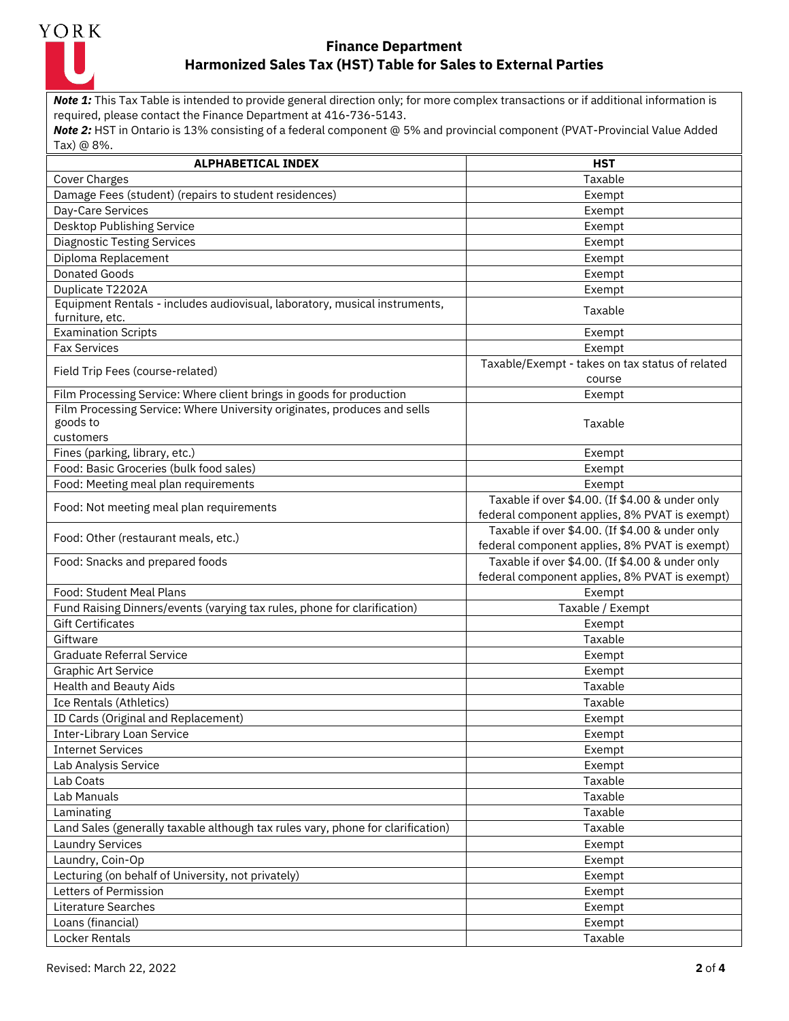

*Note 1:* This Tax Table is intended to provide general direction only; for more complex transactions or if additional information is required, please contact the Finance Department at 416-736-5143.

| <b>ALPHABETICAL INDEX</b>                                                                     | <b>HST</b>                                                                                       |
|-----------------------------------------------------------------------------------------------|--------------------------------------------------------------------------------------------------|
| Cover Charges                                                                                 | Taxable                                                                                          |
| Damage Fees (student) (repairs to student residences)                                         | Exempt                                                                                           |
| Day-Care Services                                                                             | Exempt                                                                                           |
| Desktop Publishing Service                                                                    | Exempt                                                                                           |
| <b>Diagnostic Testing Services</b>                                                            | Exempt                                                                                           |
| Diploma Replacement                                                                           | Exempt                                                                                           |
| <b>Donated Goods</b>                                                                          | Exempt                                                                                           |
| Duplicate T2202A                                                                              | Exempt                                                                                           |
| Equipment Rentals - includes audiovisual, laboratory, musical instruments,<br>furniture, etc. | Taxable                                                                                          |
| <b>Examination Scripts</b>                                                                    | Exempt                                                                                           |
| <b>Fax Services</b>                                                                           | Exempt                                                                                           |
| Field Trip Fees (course-related)                                                              | Taxable/Exempt - takes on tax status of related<br>course                                        |
| Film Processing Service: Where client brings in goods for production                          | Exempt                                                                                           |
| Film Processing Service: Where University originates, produces and sells                      |                                                                                                  |
| goods to<br>customers                                                                         | Taxable                                                                                          |
| Fines (parking, library, etc.)                                                                | Exempt                                                                                           |
| Food: Basic Groceries (bulk food sales)                                                       | Exempt                                                                                           |
| Food: Meeting meal plan requirements                                                          | Exempt                                                                                           |
|                                                                                               | Taxable if over \$4.00. (If \$4.00 & under only                                                  |
| Food: Not meeting meal plan requirements                                                      | federal component applies, 8% PVAT is exempt)                                                    |
| Food: Other (restaurant meals, etc.)                                                          | Taxable if over \$4.00. (If \$4.00 & under only                                                  |
|                                                                                               | federal component applies, 8% PVAT is exempt)                                                    |
| Food: Snacks and prepared foods                                                               | Taxable if over \$4.00. (If \$4.00 & under only<br>federal component applies, 8% PVAT is exempt) |
| Food: Student Meal Plans                                                                      | Exempt                                                                                           |
| Fund Raising Dinners/events (varying tax rules, phone for clarification)                      | Taxable / Exempt                                                                                 |
| <b>Gift Certificates</b>                                                                      | Exempt                                                                                           |
| Giftware                                                                                      | Taxable                                                                                          |
| <b>Graduate Referral Service</b>                                                              | Exempt                                                                                           |
| <b>Graphic Art Service</b>                                                                    | Exempt                                                                                           |
| Health and Beauty Aids                                                                        | Taxable                                                                                          |
| Ice Rentals (Athletics)                                                                       | Taxable                                                                                          |
| ID Cards (Original and Replacement)                                                           | Exempt                                                                                           |
| Inter-Library Loan Service                                                                    | Exempt                                                                                           |
| <b>Internet Services</b>                                                                      | Exempt                                                                                           |
| Lab Analysis Service                                                                          | Exempt                                                                                           |
| Lab Coats                                                                                     | Taxable                                                                                          |
| Lab Manuals                                                                                   | Taxable                                                                                          |
| Laminating                                                                                    | Taxable                                                                                          |
| Land Sales (generally taxable although tax rules vary, phone for clarification)               | Taxable                                                                                          |
| <b>Laundry Services</b>                                                                       | Exempt                                                                                           |
| Laundry, Coin-Op                                                                              | Exempt                                                                                           |
| Lecturing (on behalf of University, not privately)                                            | Exempt                                                                                           |
| Letters of Permission                                                                         | Exempt                                                                                           |
| Literature Searches                                                                           | Exempt                                                                                           |
| Loans (financial)                                                                             | Exempt                                                                                           |
| Locker Rentals                                                                                | Taxable                                                                                          |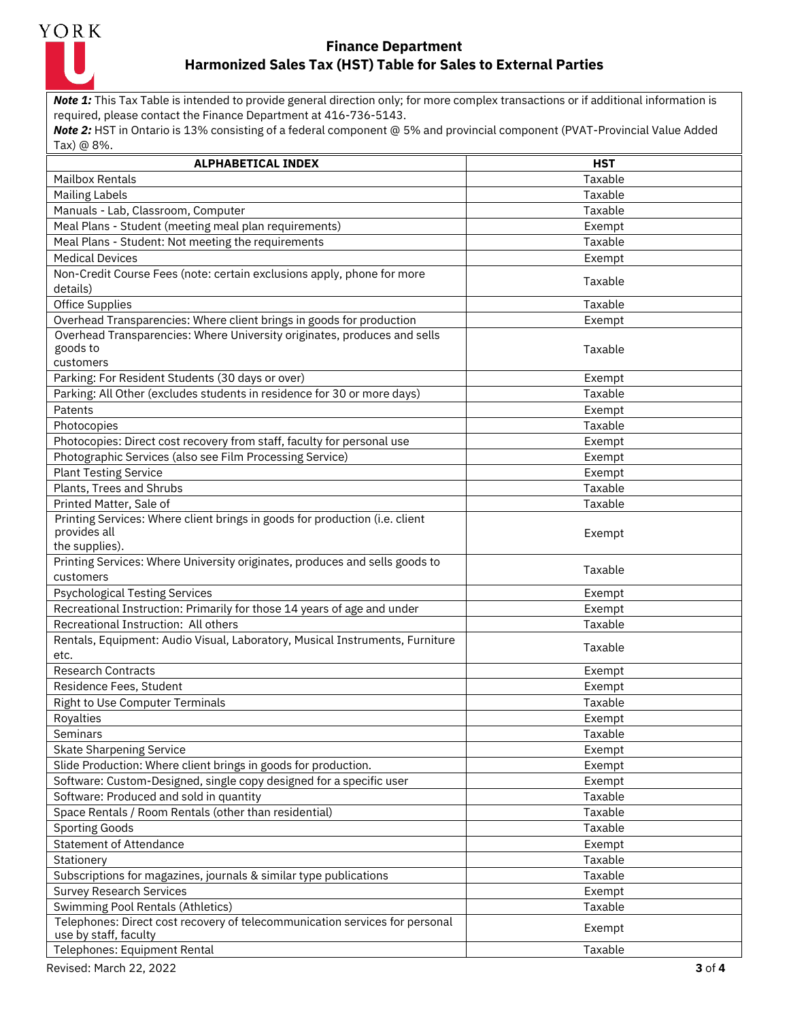

*Note 1:* This Tax Table is intended to provide general direction only; for more complex transactions or if additional information is required, please contact the Finance Department at 416-736-5143.

| <b>ALPHABETICAL INDEX</b>                                                                     | <b>HST</b> |
|-----------------------------------------------------------------------------------------------|------------|
| <b>Mailbox Rentals</b>                                                                        | Taxable    |
| <b>Mailing Labels</b>                                                                         | Taxable    |
| Manuals - Lab, Classroom, Computer                                                            | Taxable    |
| Meal Plans - Student (meeting meal plan requirements)                                         | Exempt     |
| Meal Plans - Student: Not meeting the requirements                                            | Taxable    |
| <b>Medical Devices</b>                                                                        | Exempt     |
| Non-Credit Course Fees (note: certain exclusions apply, phone for more                        |            |
| details)                                                                                      | Taxable    |
| <b>Office Supplies</b>                                                                        | Taxable    |
| Overhead Transparencies: Where client brings in goods for production                          | Exempt     |
| Overhead Transparencies: Where University originates, produces and sells                      |            |
| goods to                                                                                      | Taxable    |
| customers                                                                                     |            |
| Parking: For Resident Students (30 days or over)                                              | Exempt     |
| Parking: All Other (excludes students in residence for 30 or more days)                       | Taxable    |
| Patents                                                                                       | Exempt     |
| Photocopies                                                                                   | Taxable    |
| Photocopies: Direct cost recovery from staff, faculty for personal use                        | Exempt     |
| Photographic Services (also see Film Processing Service)                                      | Exempt     |
| <b>Plant Testing Service</b>                                                                  | Exempt     |
| Plants, Trees and Shrubs                                                                      | Taxable    |
| Printed Matter, Sale of                                                                       | Taxable    |
| Printing Services: Where client brings in goods for production (i.e. client                   |            |
| provides all                                                                                  | Exempt     |
| the supplies).<br>Printing Services: Where University originates, produces and sells goods to |            |
| customers                                                                                     | Taxable    |
| <b>Psychological Testing Services</b>                                                         | Exempt     |
| Recreational Instruction: Primarily for those 14 years of age and under                       | Exempt     |
| Recreational Instruction: All others                                                          | Taxable    |
| Rentals, Equipment: Audio Visual, Laboratory, Musical Instruments, Furniture                  |            |
| etc.                                                                                          | Taxable    |
| <b>Research Contracts</b>                                                                     | Exempt     |
| Residence Fees, Student                                                                       | Exempt     |
| Right to Use Computer Terminals                                                               | Taxable    |
| Royalties                                                                                     | Exempt     |
| Seminars                                                                                      | Taxable    |
| <b>Skate Sharpening Service</b>                                                               | Exempt     |
| Slide Production: Where client brings in goods for production.                                | Exempt     |
| Software: Custom-Designed, single copy designed for a specific user                           | Exempt     |
| Software: Produced and sold in quantity                                                       | Taxable    |
| Space Rentals / Room Rentals (other than residential)                                         | Taxable    |
| <b>Sporting Goods</b>                                                                         | Taxable    |
| <b>Statement of Attendance</b>                                                                | Exempt     |
| Stationery                                                                                    | Taxable    |
| Subscriptions for magazines, journals & similar type publications                             | Taxable    |
| <b>Survey Research Services</b>                                                               | Exempt     |
| Swimming Pool Rentals (Athletics)                                                             | Taxable    |
| Telephones: Direct cost recovery of telecommunication services for personal                   |            |
| use by staff, faculty                                                                         | Exempt     |
| Telephones: Equipment Rental                                                                  | Taxable    |
| Revised: March 22, 2022                                                                       | 3 of 4     |